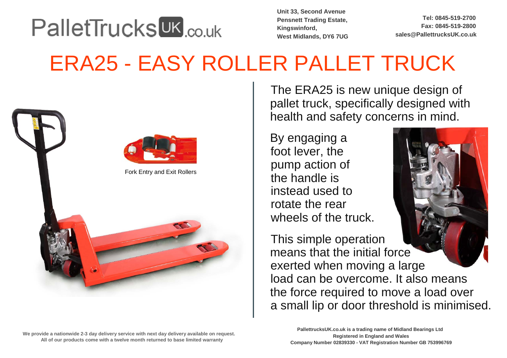## **PalletTrucks UK couk**

**Unit 33, Second Avenue Pensnett Trading Estate,Kingswinford, West Midlands, DY6 7UG**

**Tel: 0845-519-2700 Fax: 0845-519-2800sales@PallettrucksUK.co.uk** 

## ERA25 - EASY ROLLER PALLET TRUCK



Fork Entry and Exit Rollers



**We provide a nationwide 2-3 day delivery service with next day delivery available on request. All of our products come with a twelve month returned to base limited warranty**

 The ERA25 is new unique design of pallet truck, specifically designed withhealth and safety concerns in mind.

By engaging a foot lever, the pump action ofthe handle is instead used to rotate the rearwheels of the truck.



This simple operation means that the initial force exerted when moving a large load can be overcome. It also meansthe force required to move a load over a small lip or door threshold is minimised.